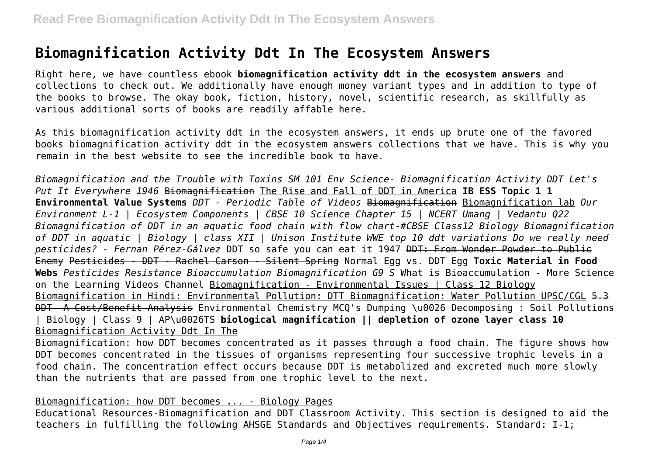# **Biomagnification Activity Ddt In The Ecosystem Answers**

Right here, we have countless ebook **biomagnification activity ddt in the ecosystem answers** and collections to check out. We additionally have enough money variant types and in addition to type of the books to browse. The okay book, fiction, history, novel, scientific research, as skillfully as various additional sorts of books are readily affable here.

As this biomagnification activity ddt in the ecosystem answers, it ends up brute one of the favored books biomagnification activity ddt in the ecosystem answers collections that we have. This is why you remain in the best website to see the incredible book to have.

*Biomagnification and the Trouble with Toxins SM 101 Env Science- Biomagnification Activity DDT Let's Put It Everywhere 1946* Biomagnification The Rise and Fall of DDT in America **IB ESS Topic 1 1 Environmental Value Systems** *DDT - Periodic Table of Videos* Biomagnification Biomagnification lab *Our Environment L-1 | Ecosystem Components | CBSE 10 Science Chapter 15 | NCERT Umang | Vedantu Q22 Biomagnification of DDT in an aquatic food chain with flow chart-#CBSE Class12 Biology Biomagnification of DDT in aquatic | Biology | class XII | Unison Institute WWE top 10 ddt variations Do we really need pesticides? - Fernan Pérez-Gálvez* DDT so safe you can eat it 1947 DDT: From Wonder Powder to Public Enemy Pesticides - DDT - Rachel Carson - Silent Spring Normal Egg vs. DDT Egg **Toxic Material in Food Webs** *Pesticides Resistance Bioaccumulation Biomagnification G9 S* What is Bioaccumulation - More Science on the Learning Videos Channel Biomagnification - Environmental Issues | Class 12 Biology Biomagnification in Hindi: Environmental Pollution: DTT Biomagnification: Water Pollution UPSC/CGL 5.3 DDT- A Cost/Benefit Analysis Environmental Chemistry MCQ's Dumping \u0026 Decomposing : Soil Pollutions | Biology | Class 9 | AP\u0026TS **biological magnification || depletion of ozone layer class 10** Biomagnification Activity Ddt In The

Biomagnification: how DDT becomes concentrated as it passes through a food chain. The figure shows how DDT becomes concentrated in the tissues of organisms representing four successive trophic levels in a food chain. The concentration effect occurs because DDT is metabolized and excreted much more slowly than the nutrients that are passed from one trophic level to the next.

## Biomagnification: how DDT becomes ... - Biology Pages

Educational Resources-Biomagnification and DDT Classroom Activity. This section is designed to aid the teachers in fulfilling the following AHSGE Standards and Objectives requirements. Standard: I-1;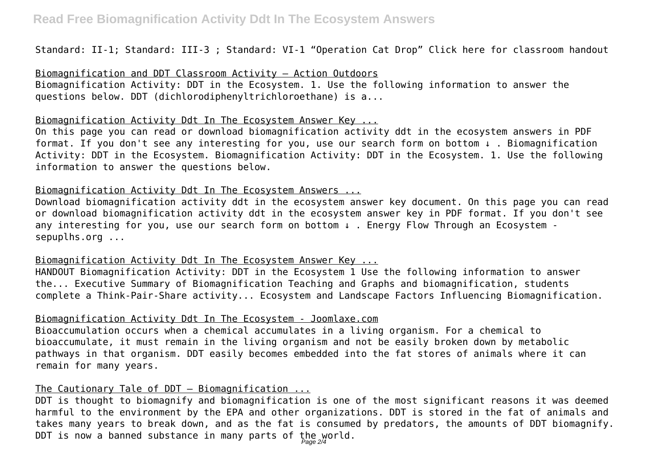Standard: II-1; Standard: III-3 ; Standard: VI-1 "Operation Cat Drop" Click here for classroom handout

Biomagnification and DDT Classroom Activity – Action Outdoors

Biomagnification Activity: DDT in the Ecosystem. 1. Use the following information to answer the questions below. DDT (dichlorodiphenyltrichloroethane) is a...

#### Biomagnification Activity Ddt In The Ecosystem Answer Key ...

On this page you can read or download biomagnification activity ddt in the ecosystem answers in PDF format. If you don't see any interesting for you, use our search form on bottom ↓ . Biomagnification Activity: DDT in the Ecosystem. Biomagnification Activity: DDT in the Ecosystem. 1. Use the following information to answer the questions below.

#### Biomagnification Activity Ddt In The Ecosystem Answers ...

Download biomagnification activity ddt in the ecosystem answer key document. On this page you can read or download biomagnification activity ddt in the ecosystem answer key in PDF format. If you don't see any interesting for you, use our search form on bottom ↓ . Energy Flow Through an Ecosystem sepuplhs.org ...

## Biomagnification Activity Ddt In The Ecosystem Answer Key ...

HANDOUT Biomagnification Activity: DDT in the Ecosystem 1 Use the following information to answer the... Executive Summary of Biomagnification Teaching and Graphs and biomagnification, students complete a Think-Pair-Share activity... Ecosystem and Landscape Factors Influencing Biomagnification.

# Biomagnification Activity Ddt In The Ecosystem - Joomlaxe.com

Bioaccumulation occurs when a chemical accumulates in a living organism. For a chemical to bioaccumulate, it must remain in the living organism and not be easily broken down by metabolic pathways in that organism. DDT easily becomes embedded into the fat stores of animals where it can remain for many years.

# The Cautionary Tale of DDT – Biomagnification ...

DDT is thought to biomagnify and biomagnification is one of the most significant reasons it was deemed harmful to the environment by the EPA and other organizations. DDT is stored in the fat of animals and takes many years to break down, and as the fat is consumed by predators, the amounts of DDT biomagnify. DDT is now a banned substance in many parts of the world.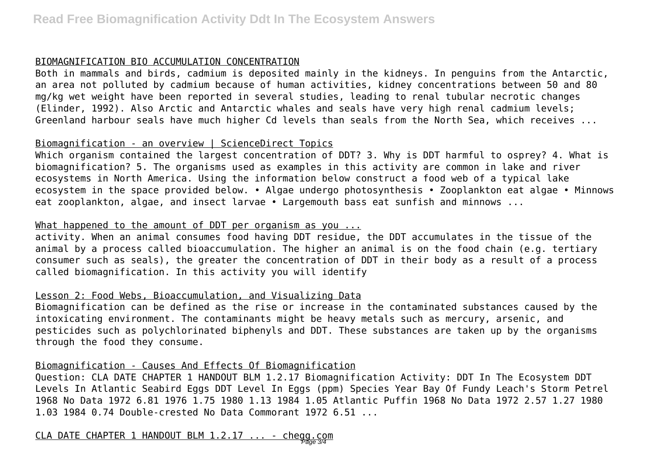## BIOMAGNIFICATION BIO ACCUMULATION CONCENTRATION

Both in mammals and birds, cadmium is deposited mainly in the kidneys. In penguins from the Antarctic, an area not polluted by cadmium because of human activities, kidney concentrations between 50 and 80 mg/kg wet weight have been reported in several studies, leading to renal tubular necrotic changes (Elinder, 1992). Also Arctic and Antarctic whales and seals have very high renal cadmium levels; Greenland harbour seals have much higher Cd levels than seals from the North Sea, which receives ...

## Biomagnification - an overview | ScienceDirect Topics

Which organism contained the largest concentration of DDT? 3. Why is DDT harmful to osprey? 4. What is biomagnification? 5. The organisms used as examples in this activity are common in lake and river ecosystems in North America. Using the information below construct a food web of a typical lake ecosystem in the space provided below. • Algae undergo photosynthesis • Zooplankton eat algae • Minnows eat zooplankton, algae, and insect larvae • Largemouth bass eat sunfish and minnows ...

#### What happened to the amount of DDT per organism as you ...

activity. When an animal consumes food having DDT residue, the DDT accumulates in the tissue of the animal by a process called bioaccumulation. The higher an animal is on the food chain (e.g. tertiary consumer such as seals), the greater the concentration of DDT in their body as a result of a process called biomagnification. In this activity you will identify

#### Lesson 2: Food Webs, Bioaccumulation, and Visualizing Data

Biomagnification can be defined as the rise or increase in the contaminated substances caused by the intoxicating environment. The contaminants might be heavy metals such as mercury, arsenic, and pesticides such as polychlorinated biphenyls and DDT. These substances are taken up by the organisms through the food they consume.

## Biomagnification - Causes And Effects Of Biomagnification

Question: CLA DATE CHAPTER 1 HANDOUT BLM 1.2.17 Biomagnification Activity: DDT In The Ecosystem DDT Levels In Atlantic Seabird Eggs DDT Level In Eggs (ppm) Species Year Bay Of Fundy Leach's Storm Petrel 1968 No Data 1972 6.81 1976 1.75 1980 1.13 1984 1.05 Atlantic Puffin 1968 No Data 1972 2.57 1.27 1980 1.03 1984 0.74 Double-crested No Data Commorant 1972 6.51 ...

CLA DATE CHAPTER 1 HANDOUT BLM 1.2.17 ... - chegg.com Page 3/4